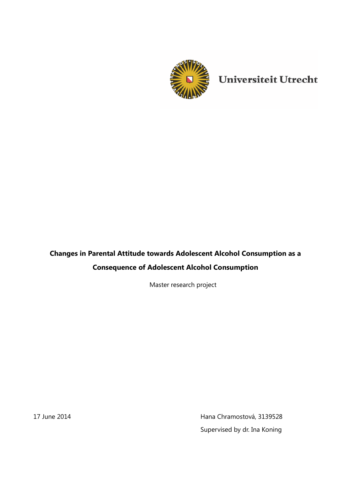

Universiteit Utrecht

# **Changes in Parental Attitude towards Adolescent Alcohol Consumption as a Consequence of Adolescent Alcohol Consumption**

Master research project

17 June 2014 **Hana Chramostová, 3139528** Supervised by dr. Ina Koning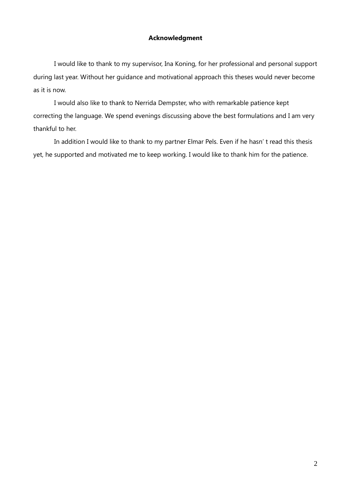## **Acknowledgment**

I would like to thank to my supervisor, Ina Koning, for her professional and personal support during last year. Without her guidance and motivational approach this theses would never become as it is now.

I would also like to thank to Nerrida Dempster, who with remarkable patience kept correcting the language. We spend evenings discussing above the best formulations and I am very thankful to her.

In addition I would like to thank to my partner Elmar Pels. Even if he hasn' t read this thesis yet, he supported and motivated me to keep working. I would like to thank him for the patience.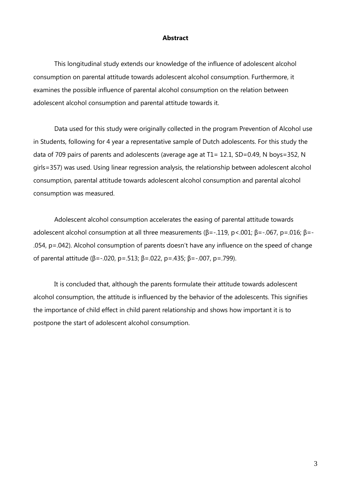#### **Abstract**

This longitudinal study extends our knowledge of the influence of adolescent alcohol consumption on parental attitude towards adolescent alcohol consumption. Furthermore, it examines the possible influence of parental alcohol consumption on the relation between adolescent alcohol consumption and parental attitude towards it.

Data used for this study were originally collected in the program Prevention of Alcohol use in Students, following for 4 year a representative sample of Dutch adolescents. For this study the data of 709 pairs of parents and adolescents (average age at T1= 12.1, SD=0.49, N boys=352, N girls=357) was used. Using linear regression analysis, the relationship between adolescent alcohol consumption, parental attitude towards adolescent alcohol consumption and parental alcohol consumption was measured.

Adolescent alcohol consumption accelerates the easing of parental attitude towards adolescent alcohol consumption at all three measurements ( $\beta$ =-.119, p<.001;  $\beta$ =-.067, p=.016;  $\beta$ =-.054, p=.042). Alcohol consumption of parents doesn't have any influence on the speed of change of parental attitude (β=-.020, p=.513; β=.022, p=.435; β=-.007, p=.799).

It is concluded that, although the parents formulate their attitude towards adolescent alcohol consumption, the attitude is influenced by the behavior of the adolescents. This signifies the importance of child effect in child parent relationship and shows how important it is to postpone the start of adolescent alcohol consumption.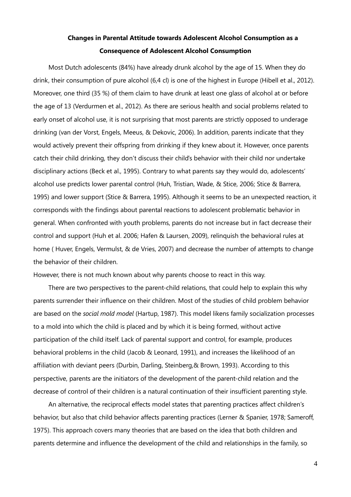## **Changes in Parental Attitude towards Adolescent Alcohol Consumption as a Consequence of Adolescent Alcohol Consumption**

Most Dutch adolescents (84%) have already drunk alcohol by the age of 15. When they do drink, their consumption of pure alcohol (6,4 cl) is one of the highest in Europe (Hibell et al., 2012). Moreover, one third (35 %) of them claim to have drunk at least one glass of alcohol at or before the age of 13 (Verdurmen et al., 2012). As there are serious health and social problems related to early onset of alcohol use, it is not surprising that most parents are strictly opposed to underage drinking (van der Vorst, Engels, Meeus, & Dekovic, 2006). In addition, parents indicate that they would actively prevent their offspring from drinking if they knew about it. However, once parents catch their child drinking, they don't discuss their child's behavior with their child nor undertake disciplinary actions (Beck et al., 1995). Contrary to what parents say they would do, adolescents' alcohol use predicts lower parental control (Huh, Tristian, Wade, & Stice, 2006; Stice & Barrera, 1995) and lower support (Stice & Barrera, 1995). Although it seems to be an unexpected reaction, it corresponds with the findings about parental reactions to adolescent problematic behavior in general. When confronted with youth problems, parents do not increase but in fact decrease their control and support (Huh et al. 2006; Hafen & Laursen, 2009), relinquish the behavioral rules at home (Huver, Engels, Vermulst, & de Vries, 2007) and decrease the number of attempts to change the behavior of their children.

However, there is not much known about why parents choose to react in this way.

There are two perspectives to the parent-child relations, that could help to explain this why parents surrender their influence on their children. Most of the studies of child problem behavior are based on the *social mold model* (Hartup, 1987). This model likens family socialization processes to a mold into which the child is placed and by which it is being formed, without active participation of the child itself. Lack of parental support and control, for example, produces behavioral problems in the child (Jacob & Leonard, 1991), and increases the likelihood of an affiliation with deviant peers (Durbin, Darling, Steinberg,& Brown, 1993). According to this perspective, parents are the initiators of the development of the parent-child relation and the decrease of control of their children is a natural continuation of their insufficient parenting style.

An alternative, the reciprocal effects model states that parenting practices affect children's behavior, but also that child behavior affects parenting practices (Lerner & Spanier, 1978; Sameroff, 1975). This approach covers many theories that are based on the idea that both children and parents determine and influence the development of the child and relationships in the family, so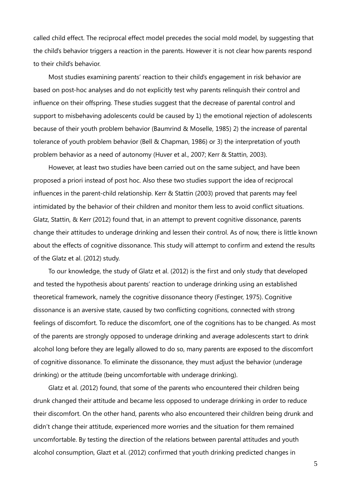called child effect. The reciprocal effect model precedes the social mold model, by suggesting that the child's behavior triggers a reaction in the parents. However it is not clear how parents respond to their child's behavior.

Most studies examining parents' reaction to their child's engagement in risk behavior are based on post-hoc analyses and do not explicitly test why parents relinquish their control and influence on their offspring. These studies suggest that the decrease of parental control and support to misbehaving adolescents could be caused by 1) the emotional rejection of adolescents because of their youth problem behavior (Baumrind & Moselle, 1985) 2) the increase of parental tolerance of youth problem behavior (Bell & Chapman, 1986) or 3) the interpretation of youth problem behavior as a need of autonomy (Huver et al., 2007; Kerr & Stattin, 2003).

However, at least two studies have been carried out on the same subject, and have been proposed a priori instead of post hoc. Also these two studies support the idea of reciprocal influences in the parent-child relationship. Kerr & Stattin (2003) proved that parents may feel intimidated by the behavior of their children and monitor them less to avoid conflict situations. Glatz, Stattin, & Kerr (2012) found that, in an attempt to prevent cognitive dissonance, parents change their attitudes to underage drinking and lessen their control. As of now, there is little known about the effects of cognitive dissonance. This study will attempt to confirm and extend the results of the Glatz et al. (2012) study.

To our knowledge, the study of Glatz et al. (2012) is the first and only study that developed and tested the hypothesis about parents' reaction to underage drinking using an established theoretical framework, namely the cognitive dissonance theory (Festinger, 1975). Cognitive dissonance is an aversive state, caused by two conflicting cognitions, connected with strong feelings of discomfort. To reduce the discomfort, one of the cognitions has to be changed. As most of the parents are strongly opposed to underage drinking and average adolescents start to drink alcohol long before they are legally allowed to do so, many parents are exposed to the discomfort of cognitive dissonance. To eliminate the dissonance, they must adjust the behavior (underage drinking) or the attitude (being uncomfortable with underage drinking).

Glatz et al. (2012) found, that some of the parents who encountered their children being drunk changed their attitude and became less opposed to underage drinking in order to reduce their discomfort. On the other hand, parents who also encountered their children being drunk and didn't change their attitude, experienced more worries and the situation for them remained uncomfortable. By testing the direction of the relations between parental attitudes and youth alcohol consumption, Glazt et al. (2012) confirmed that youth drinking predicted changes in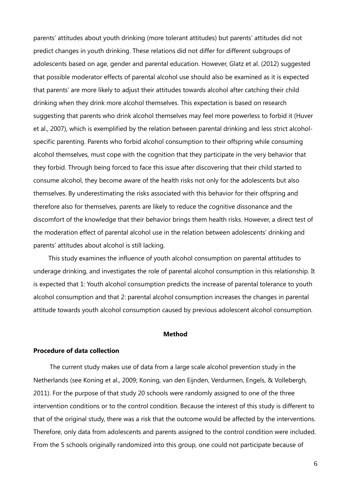parents' attitudes about youth drinking (more tolerant attitudes) but parents' attitudes did not predict changes in youth drinking. These relations did not differ for different subgroups of adolescents based on age, gender and parental education. However, Glatz et al. (2012) suggested that possible moderator effects of parental alcohol use should also be examined as it is expected that parents' are more likely to adjust their attitudes towards alcohol after catching their child drinking when they drink more alcohol themselves. This expectation is based on research suggesting that parents who drink alcohol themselves may feel more powerless to forbid it (Huver et al., 2007), which is exemplified by the relation between parental drinking and less strict alcoholspecific parenting. Parents who forbid alcohol consumption to their offspring while consuming alcohol themselves, must cope with the cognition that they participate in the very behavior that they forbid. Through being forced to face this issue after discovering that their child started to consume alcohol, they become aware of the health risks not only for the adolescents but also themselves. By underestimating the risks associated with this behavior for their offspring and therefore also for themselves, parents are likely to reduce the cognitive dissonance and the discomfort of the knowledge that their behavior brings them health risks. However, a direct test of the moderation effect of parental alcohol use in the relation between adolescents' drinking and parents' attitudes about alcohol is still lacking.

This study examines the influence of youth alcohol consumption on parental attitudes to underage drinking, and investigates the role of parental alcohol consumption in this relationship. It is expected that 1: Youth alcohol consumption predicts the increase of parental tolerance to youth alcohol consumption and that 2: parental alcohol consumption increases the changes in parental attitude towards youth alcohol consumption caused by previous adolescent alcohol consumption.

## **Method**

#### **Procedure of data collection**

The current study makes use of data from a large scale alcohol prevention study in the Netherlands (see Koning et al., 2009; Koning, van den Eijnden, Verdurmen, Engels, & Vollebergh, 2011). For the purpose of that study 20 schools were randomly assigned to one of the three intervention conditions or to the control condition. Because the interest of this study is different to that of the original study, there was a risk that the outcome would be affected by the interventions. Therefore, only data from adolescents and parents assigned to the control condition were included. From the 5 schools originally randomized into this group, one could not participate because of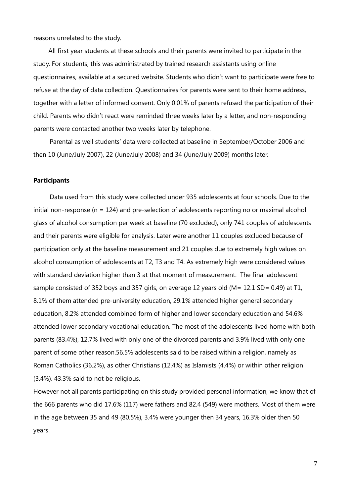reasons unrelated to the study.

All first year students at these schools and their parents were invited to participate in the study. For students, this was administrated by trained research assistants using online questionnaires, available at a secured website. Students who didn't want to participate were free to refuse at the day of data collection. Questionnaires for parents were sent to their home address, together with a letter of informed consent. Only 0.01% of parents refused the participation of their child. Parents who didn't react were reminded three weeks later by a letter, and non-responding parents were contacted another two weeks later by telephone.

Parental as well students' data were collected at baseline in September/October 2006 and then 10 (June/July 2007), 22 (June/July 2008) and 34 (June/July 2009) months later.

#### **Participants**

Data used from this study were collected under 935 adolescents at four schools. Due to the initial non-response (n = 124) and pre-selection of adolescents reporting no or maximal alcohol glass of alcohol consumption per week at baseline (70 excluded), only 741 couples of adolescents and their parents were eligible for analysis. Later were another 11 couples excluded because of participation only at the baseline measurement and 21 couples due to extremely high values on alcohol consumption of adolescents at T2, T3 and T4. As extremely high were considered values with standard deviation higher than 3 at that moment of measurement. The final adolescent sample consisted of 352 boys and 357 girls, on average 12 years old (M= 12.1 SD= 0.49) at T1, 8.1% of them attended pre-university education, 29.1% attended higher general secondary education, 8.2% attended combined form of higher and lower secondary education and 54.6% attended lower secondary vocational education. The most of the adolescents lived home with both parents (83.4%), 12.7% lived with only one of the divorced parents and 3.9% lived with only one parent of some other reason.56.5% adolescents said to be raised within a religion, namely as Roman Catholics (36.2%), as other Christians (12.4%) as Islamists (4.4%) or within other religion (3.4%). 43.3% said to not be religious.

However not all parents participating on this study provided personal information, we know that of the 666 parents who did 17.6% (117) were fathers and 82.4 (549) were mothers. Most of them were in the age between 35 and 49 (80.5%), 3.4% were younger then 34 years, 16.3% older then 50 years.

7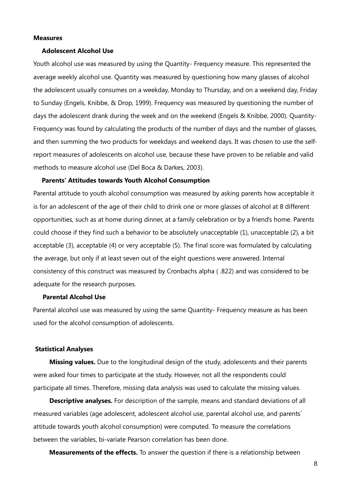#### **Measures**

#### **Adolescent Alcohol Use**

Youth alcohol use was measured by using the Quantity- Frequency measure. This represented the average weekly alcohol use. Quantity was measured by questioning how many glasses of alcohol the adolescent usually consumes on a weekday, Monday to Thursday, and on a weekend day, Friday to Sunday (Engels, Knibbe, & Drop, 1999). Frequency was measured by questioning the number of days the adolescent drank during the week and on the weekend (Engels & Knibbe, 2000). Quantity-Frequency was found by calculating the products of the number of days and the number of glasses, and then summing the two products for weekdays and weekend days. It was chosen to use the selfreport measures of adolescents on alcohol use, because these have proven to be reliable and valid methods to measure alcohol use (Del Boca & Darkes, 2003).

#### **Parents' Attitudes towards Youth Alcohol Consumption**

Parental attitude to youth alcohol consumption was measured by asking parents how acceptable it is for an adolescent of the age of their child to drink one or more glasses of alcohol at 8 different opportunities, such as at home during dinner, at a family celebration or by a friend's home. Parents could choose if they find such a behavior to be absolutely unacceptable (1), unacceptable (2), a bit acceptable (3), acceptable (4) or very acceptable (5). The final score was formulated by calculating the average, but only if at least seven out of the eight questions were answered. Internal consistency of this construct was measured by Cronbachs alpha ( .822) and was considered to be adequate for the research purposes.

#### **Parental Alcohol Use**

Parental alcohol use was measured by using the same Quantity- Frequency measure as has been used for the alcohol consumption of adolescents.

#### **Statistical Analyses**

**Missing values.** Due to the longitudinal design of the study, adolescents and their parents were asked four times to participate at the study. However, not all the respondents could participate all times. Therefore, missing data analysis was used to calculate the missing values.

**Descriptive analyses.** For description of the sample, means and standard deviations of all measured variables (age adolescent, adolescent alcohol use, parental alcohol use, and parents´ attitude towards youth alcohol consumption) were computed. To measure the correlations between the variables, bi-variate Pearson correlation has been done.

**Measurements of the effects.** To answer the question if there is a relationship between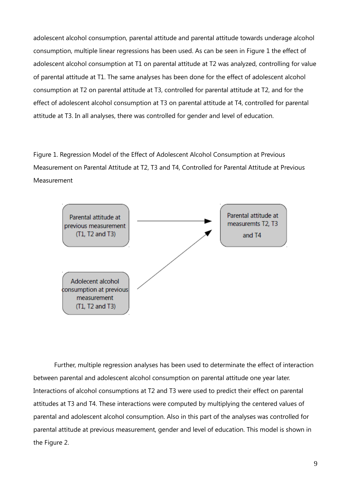adolescent alcohol consumption, parental attitude and parental attitude towards underage alcohol consumption, multiple linear regressions has been used. As can be seen in Figure 1 the effect of adolescent alcohol consumption at T1 on parental attitude at T2 was analyzed, controlling for value of parental attitude at T1. The same analyses has been done for the effect of adolescent alcohol consumption at T2 on parental attitude at T3, controlled for parental attitude at T2, and for the effect of adolescent alcohol consumption at T3 on parental attitude at T4, controlled for parental attitude at T3. In all analyses, there was controlled for gender and level of education.

Figure 1. Regression Model of the Effect of Adolescent Alcohol Consumption at Previous Measurement on Parental Attitude at T2, T3 and T4, Controlled for Parental Attitude at Previous Measurement



Further, multiple regression analyses has been used to determinate the effect of interaction between parental and adolescent alcohol consumption on parental attitude one year later. Interactions of alcohol consumptions at T2 and T3 were used to predict their effect on parental attitudes at T3 and T4. These interactions were computed by multiplying the centered values of parental and adolescent alcohol consumption. Also in this part of the analyses was controlled for parental attitude at previous measurement, gender and level of education. This model is shown in the Figure 2.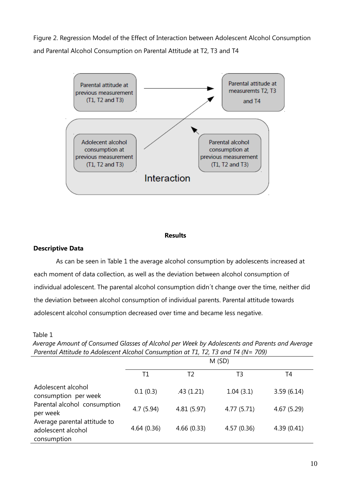Figure 2. Regression Model of the Effect of Interaction between Adolescent Alcohol Consumption and Parental Alcohol Consumption on Parental Attitude at T2, T3 and T4



#### **Results**

### **Descriptive Data**

As can be seen in Table 1 the average alcohol consumption by adolescents increased at each moment of data collection, as well as the deviation between alcohol consumption of individual adolescent. The parental alcohol consumption didn´t change over the time, neither did the deviation between alcohol consumption of individual parents. Parental attitude towards adolescent alcohol consumption decreased over time and became less negative.

### Table 1

*Average Amount of Consumed Glasses of Alcohol per Week by Adolescents and Parents and Average Parental Attitude to Adolescent Alcohol Consumption at T1, T2, T3 and T4 (N= 709)*

|                                                                   | M(SD)      |             |             |             |  |  |  |
|-------------------------------------------------------------------|------------|-------------|-------------|-------------|--|--|--|
|                                                                   | Τ1         | Т2          | T3          | T4          |  |  |  |
| Adolescent alcohol<br>consumption per week                        | 0.1(0.3)   | .43(1.21)   | 1.04(3.1)   | 3.59(6.14)  |  |  |  |
| Parental alcohol consumption<br>per week                          | 4.7(5.94)  | 4.81 (5.97) | 4.77 (5.71) | 4.67 (5.29) |  |  |  |
| Average parental attitude to<br>adolescent alcohol<br>consumption | 4.64(0.36) | 4.66(0.33)  | 4.57(0.36)  | 4.39(0.41)  |  |  |  |
|                                                                   |            |             |             |             |  |  |  |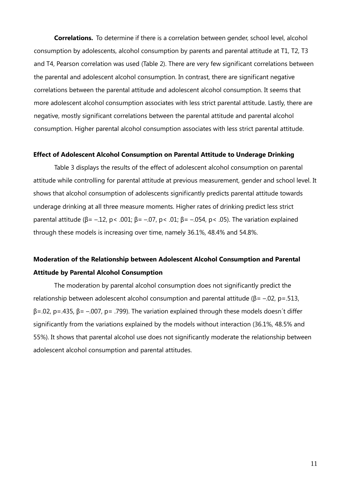**Correlations.** To determine if there is a correlation between gender, school level, alcohol consumption by adolescents, alcohol consumption by parents and parental attitude at T1, T2, T3 and T4, Pearson correlation was used (Table 2). There are very few significant correlations between the parental and adolescent alcohol consumption. In contrast, there are significant negative correlations between the parental attitude and adolescent alcohol consumption. It seems that more adolescent alcohol consumption associates with less strict parental attitude. Lastly, there are negative, mostly significant correlations between the parental attitude and parental alcohol consumption. Higher parental alcohol consumption associates with less strict parental attitude.

## **Effect of Adolescent Alcohol Consumption on Parental Attitude to Underage Drinking**

Table 3 displays the results of the effect of adolescent alcohol consumption on parental attitude while controlling for parental attitude at previous measurement, gender and school level. It shows that alcohol consumption of adolescents significantly predicts parental attitude towards underage drinking at all three measure moments. Higher rates of drinking predict less strict parental attitude (β = -.12, p < .001; β = -.07, p < .01; β = -.054, p < .05). The variation explained through these models is increasing over time, namely 36.1%, 48.4% and 54.8%.

## **Moderation of the Relationship between Adolescent Alcohol Consumption and Parental Attitude by Parental Alcohol Consumption**

The moderation by parental alcohol consumption does not significantly predict the relationship between adolescent alcohol consumption and parental attitude ( $\beta$ = -.02, p=.513,  $β = .02$ ,  $p = .435$ ,  $β = -.007$ ,  $p = .799$ ). The variation explained through these models doesn't differ significantly from the variations explained by the models without interaction (36.1%, 48.5% and 55%). It shows that parental alcohol use does not significantly moderate the relationship between adolescent alcohol consumption and parental attitudes.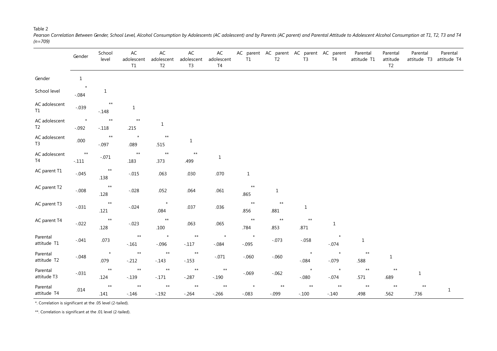#### Table 2

*Pearson Correlation Between Gender, School Level, Alcohol Consumption by Adolescents (AC adolescent) and by Parents (AC parent) and Parental Attitude to Adolescent Alcohol Consumption at T1, T2, T3 and T4 (n=709)*

|                                 | Gender                     | School<br>level            | $\sf AC$<br>adolescent<br>$\mathsf{T1}$ | AC<br>adolescent<br>T <sub>2</sub> | $\sf AC$<br>adolescent<br>T <sub>3</sub> | $\mathsf{AC}$<br>adolescent<br>T4 | T1                      | AC parent AC parent AC parent AC parent<br>T <sub>2</sub> | T <sub>3</sub>          | T <sub>4</sub>             | Parental<br>attitude T1 | Parental<br>attitude<br>T <sub>2</sub> | Parental<br>attitude T3 | Parental<br>attitude T4 |
|---------------------------------|----------------------------|----------------------------|-----------------------------------------|------------------------------------|------------------------------------------|-----------------------------------|-------------------------|-----------------------------------------------------------|-------------------------|----------------------------|-------------------------|----------------------------------------|-------------------------|-------------------------|
| Gender                          | $\mathbf{1}$               |                            |                                         |                                    |                                          |                                   |                         |                                                           |                         |                            |                         |                                        |                         |                         |
| School level                    | $\star$<br>$-.084$         | $\mathbf{1}$               |                                         |                                    |                                          |                                   |                         |                                                           |                         |                            |                         |                                        |                         |                         |
| AC adolescent<br>T1             | $-.039$                    | $^{\star\star}$<br>$-.148$ | $\mathbf{1}$                            |                                    |                                          |                                   |                         |                                                           |                         |                            |                         |                                        |                         |                         |
| AC adolescent<br>T <sub>2</sub> | $\pmb{\star}$<br>$-.092$   | $^{\star\star}$<br>$-.118$ | $**$<br>.215                            | $\mathbf{1}$                       |                                          |                                   |                         |                                                           |                         |                            |                         |                                        |                         |                         |
| AC adolescent<br>T <sub>3</sub> | .000                       | $^{\star\star}$<br>$-.097$ | $\star$<br>.089                         | $^{\star\star}$<br>.515            | $\mathbf{1}$                             |                                   |                         |                                                           |                         |                            |                         |                                        |                         |                         |
| AC adolescent<br>T4             | $^{\star\star}$<br>$-.111$ | $-.071$                    | $^{\star\star}$<br>.183                 | $^{\star\star}$<br>.373            | $^{\star\star}$<br>.499                  | $1\,$                             |                         |                                                           |                         |                            |                         |                                        |                         |                         |
| AC parent T1                    | $-.045$                    | $^{\star\star}$<br>.138    | $-.015$                                 | .063                               | .030                                     | .070                              | $\mathbf{1}$            |                                                           |                         |                            |                         |                                        |                         |                         |
| AC parent T2                    | $-.008$                    | $^{\star\star}$<br>.128    | $-.028$                                 | .052                               | .064                                     | .061                              | $\star\star$<br>.865    | $1\,$                                                     |                         |                            |                         |                                        |                         |                         |
| AC parent T3                    | $-.031$                    | $^{\star\star}$<br>.121    | $-.024$                                 | $\qquad \qquad \star$<br>.084      | .037                                     | .036                              | $^{\star\star}$<br>.856 | $^{\star\star}$<br>.881                                   | $\mathbf{1}$            |                            |                         |                                        |                         |                         |
| AC parent T4                    | $-.022$                    | $***$<br>.128              | $-.023$                                 | $^{\star\star}$<br>.100            | .063                                     | .065                              | $^{\star\star}$<br>.784 | $^{\star\star}$<br>.853                                   | $^{\star\star}$<br>.871 | $\mathbf{1}$               |                         |                                        |                         |                         |
| Parental<br>attitude T1         | $-.041$                    | .073                       | $^{\star\star}$<br>$-.161$              | $\star$<br>$-.096$                 | $^{\star\star}$<br>$-.117$               | $\star$<br>$-.084$                | $\star$<br>$-.095$      | $-.073$                                                   | $-.058$                 | $\star$<br>$-.074$         | $\mathbf{1}$            |                                        |                         |                         |
| Parental<br>attitude T2         | $-.048$                    | $\star$<br>.079            | $^{\star\star}$<br>$-.212$              | $^{\star\star}$<br>$-.143$         | $^{\star\star}$<br>$-0.153$              | $-.071$                           | $-.060$                 | $-.060$                                                   | $\star$<br>$-.084$      | $\star$<br>$-.079$         | $***$<br>.588           | $\mathbf{1}$                           |                         |                         |
| Parental<br>attitude T3         | $-.031$                    | $^{\star\star}$<br>.124    | $^{\star\star}$<br>$-.139$              | $^{\star\star}$<br>$-.171$         | $^{\star\star}$<br>$-0.287$              | $***$<br>$-.190$                  | $-.069$                 | $-.062$                                                   | $\star$<br>$-080$       | $\star$<br>$-.074$         | $***$<br>.571           | $\star\star$<br>.689                   | $\mathbf{1}$            |                         |
| Parental<br>attitude T4         | .014                       | $***$<br>.141              | $^{\star\star}$<br>$-0.146$             | $^{\star\star}$<br>$-.192$         | $^{\star\star}$<br>$-0.264$              | $^{\star\star}$<br>$-0.266$       | $\star$<br>$-.083$      | $\star\star$<br>$-.099$                                   | $**$<br>$-.100$         | $^{\star\star}$<br>$-.140$ | $***$<br>.498           | $\star\star$<br>.562                   | $***$<br>.736           | $1\,$                   |

\*. Correlation is significant at the .05 level (2-tailed).

\*\*. Correlation is significant at the .01 level (2-tailed).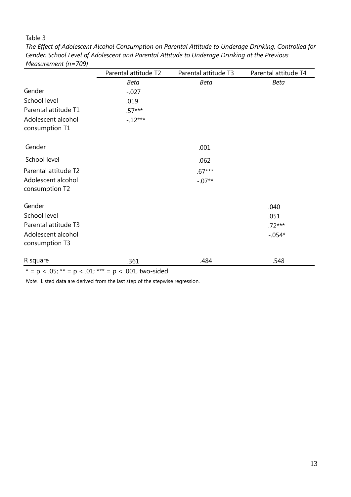## Table 3

*The Effect of Adolescent Alcohol Consumption on Parental Attitude to Underage Drinking, Controlled for Gender, School Level of Adolescent and Parental Attitude to Underage Drinking at the Previous Measurement (n=709)*

|                      | Parental attitude T2 | Parental attitude T3 | Parental attitude T4 |
|----------------------|----------------------|----------------------|----------------------|
|                      | <b>Beta</b>          | <b>Beta</b>          | <b>Beta</b>          |
| Gender               | $-0.027$             |                      |                      |
| School level         | .019                 |                      |                      |
| Parental attitude T1 | $.57***$             |                      |                      |
| Adolescent alcohol   | $-.12***$            |                      |                      |
| consumption T1       |                      |                      |                      |
| Gender               |                      | .001                 |                      |
| School level         |                      | .062                 |                      |
| Parental attitude T2 |                      | $.67***$             |                      |
| Adolescent alcohol   |                      | $-.07**$             |                      |
| consumption T2       |                      |                      |                      |
| Gender               |                      |                      | .040                 |
| School level         |                      |                      | .051                 |
| Parental attitude T3 |                      |                      | $.72***$             |
| Adolescent alcohol   |                      |                      | $-.054*$             |
| consumption T3       |                      |                      |                      |
| R square             | .361                 | .484                 | .548                 |

\* = p < .05; \*\* = p < .01; \*\*\* = p < .001, two-sided

*Note.* Listed data are derived from the last step of the stepwise regression.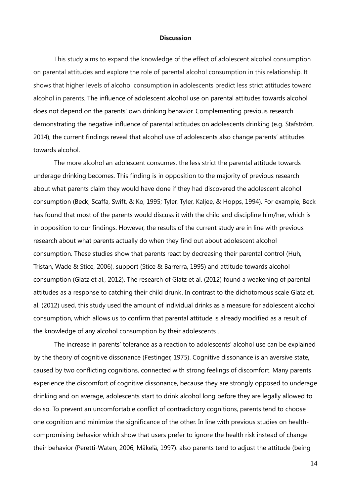#### **Discussion**

This study aims to expand the knowledge of the effect of adolescent alcohol consumption on parental attitudes and explore the role of parental alcohol consumption in this relationship. It shows that higher levels of alcohol consumption in adolescents predict less strict attitudes toward alcohol in parents. The influence of adolescent alcohol use on parental attitudes towards alcohol does not depend on the parents' own drinking behavior. Complementing previous research demonstrating the negative influence of parental attitudes on adolescents drinking (e.g. Stafström, 2014), the current findings reveal that alcohol use of adolescents also change parents' attitudes towards alcohol.

The more alcohol an adolescent consumes, the less strict the parental attitude towards underage drinking becomes. This finding is in opposition to the majority of previous research about what parents claim they would have done if they had discovered the adolescent alcohol consumption (Beck, Scaffa, Swift, & Ko, 1995; Tyler, Tyler, Kaljee, & Hopps, 1994). For example, Beck has found that most of the parents would discuss it with the child and discipline him/her, which is in opposition to our findings. However, the results of the current study are in line with previous research about what parents actually do when they find out about adolescent alcohol consumption. These studies show that parents react by decreasing their parental control (Huh, Tristan, Wade & Stice, 2006), support (Stice & Barrerra, 1995) and attitude towards alcohol consumption (Glatz et al., 2012). The research of Glatz et al. (2012) found a weakening of parental attitudes as a response to catching their child drunk. In contrast to the dichotomous scale Glatz et. al. (2012) used, this study used the amount of individual drinks as a measure for adolescent alcohol consumption, which allows us to confirm that parental attitude is already modified as a result of the knowledge of any alcohol consumption by their adolescents .

The increase in parents' tolerance as a reaction to adolescents' alcohol use can be explained by the theory of cognitive dissonance (Festinger, 1975). Cognitive dissonance is an aversive state, caused by two conflicting cognitions, connected with strong feelings of discomfort. Many parents experience the discomfort of cognitive dissonance, because they are strongly opposed to underage drinking and on average, adolescents start to drink alcohol long before they are legally allowed to do so. To prevent an uncomfortable conflict of contradictory cognitions, parents tend to choose one cognition and minimize the significance of the other. In line with previous studies on healthcompromising behavior which show that users prefer to ignore the health risk instead of change their behavior (Peretti-Waten, 2006; Mäkelä, 1997). also parents tend to adjust the attitude (being

14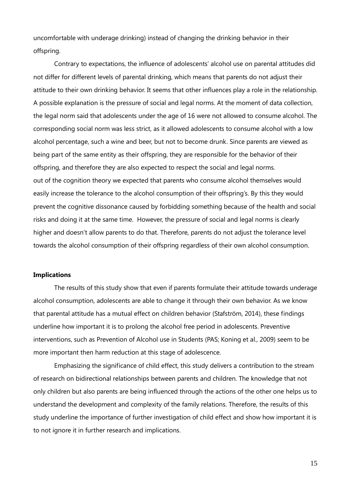uncomfortable with underage drinking) instead of changing the drinking behavior in their offspring.

Contrary to expectations, the influence of adolescents' alcohol use on parental attitudes did not differ for different levels of parental drinking, which means that parents do not adjust their attitude to their own drinking behavior. It seems that other influences play a role in the relationship. A possible explanation is the pressure of social and legal norms. At the moment of data collection, the legal norm said that adolescents under the age of 16 were not allowed to consume alcohol. The corresponding social norm was less strict, as it allowed adolescents to consume alcohol with a low alcohol percentage, such a wine and beer, but not to become drunk. Since parents are viewed as being part of the same entity as their offspring, they are responsible for the behavior of their offspring, and therefore they are also expected to respect the social and legal norms. out of the cognition theory we expected that parents who consume alcohol themselves would easily increase the tolerance to the alcohol consumption of their offspring's. By this they would prevent the cognitive dissonance caused by forbidding something because of the health and social risks and doing it at the same time. However, the pressure of social and legal norms is clearly higher and doesn't allow parents to do that. Therefore, parents do not adjust the tolerance level towards the alcohol consumption of their offspring regardless of their own alcohol consumption.

### **Implications**

The results of this study show that even if parents formulate their attitude towards underage alcohol consumption, adolescents are able to change it through their own behavior. As we know that parental attitude has a mutual effect on children behavior (Stafström, 2014), these findings underline how important it is to prolong the alcohol free period in adolescents. Preventive interventions, such as Prevention of Alcohol use in Students (PAS; Koning et al., 2009) seem to be more important then harm reduction at this stage of adolescence.

Emphasizing the significance of child effect, this study delivers a contribution to the stream of research on bidirectional relationships between parents and children. The knowledge that not only children but also parents are being influenced through the actions of the other one helps us to understand the development and complexity of the family relations. Therefore, the results of this study underline the importance of further investigation of child effect and show how important it is to not ignore it in further research and implications.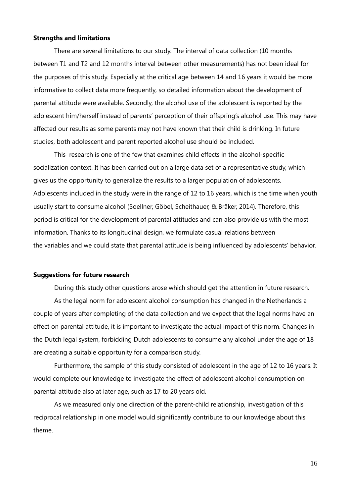#### **Strengths and limitations**

There are several limitations to our study. The interval of data collection (10 months between T1 and T2 and 12 months interval between other measurements) has not been ideal for the purposes of this study. Especially at the critical age between 14 and 16 years it would be more informative to collect data more frequently, so detailed information about the development of parental attitude were available. Secondly, the alcohol use of the adolescent is reported by the adolescent him/herself instead of parents' perception of their offspring's alcohol use. This may have affected our results as some parents may not have known that their child is drinking. In future studies, both adolescent and parent reported alcohol use should be included.

This research is one of the few that examines child effects in the alcohol-specific socialization context. It has been carried out on a large data set of a representative study, which gives us the opportunity to generalize the results to a larger population of adolescents. Adolescents included in the study were in the range of 12 to 16 years, which is the time when youth usually start to consume alcohol (Soellner, Göbel, Scheithauer, & Bräker, 2014). Therefore, this period is critical for the development of parental attitudes and can also provide us with the most information. Thanks to its longitudinal design, we formulate casual relations between the variables and we could state that parental attitude is being influenced by adolescents' behavior.

#### **Suggestions for future research**

During this study other questions arose which should get the attention in future research.

As the legal norm for adolescent alcohol consumption has changed in the Netherlands a couple of years after completing of the data collection and we expect that the legal norms have an effect on parental attitude, it is important to investigate the actual impact of this norm. Changes in the Dutch legal system, forbidding Dutch adolescents to consume any alcohol under the age of 18 are creating a suitable opportunity for a comparison study.

Furthermore, the sample of this study consisted of adolescent in the age of 12 to 16 years. It would complete our knowledge to investigate the effect of adolescent alcohol consumption on parental attitude also at later age, such as 17 to 20 years old.

As we measured only one direction of the parent-child relationship, investigation of this reciprocal relationship in one model would significantly contribute to our knowledge about this theme.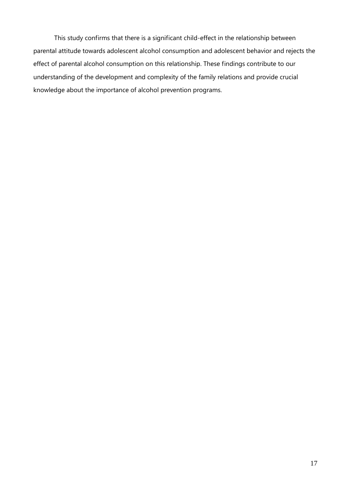This study confirms that there is a significant child-effect in the relationship between parental attitude towards adolescent alcohol consumption and adolescent behavior and rejects the effect of parental alcohol consumption on this relationship. These findings contribute to our understanding of the development and complexity of the family relations and provide crucial knowledge about the importance of alcohol prevention programs.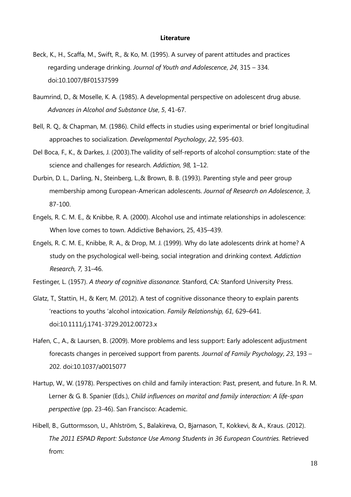#### **Literature**

- Beck, K., H., Scaffa, M., Swift, R., & Ko, M. (1995). A survey of parent attitudes and practices regarding underage drinking. *Journal of Youth and Adolescence*, *24*, 315 – 334. doi:10.1007/BF01537599
- Baumrind, D., & Moselle, K. A. (1985). A developmental perspective on adolescent drug abuse. *Advances in Alcohol and Substance Use*, *5*, 41-67.
- Bell, R. Q., & Chapman, M. (1986). Child effects in studies using experimental or brief longitudinal approaches to socialization. *Developmental Psychology*, *22*, 595-603.
- Del Boca, F., K., & Darkes, J. (2003).The validity of self-reports of alcohol consumption: state of the science and challenges for research. *Addiction, 98,* 1–12.
- Durbin, D. L., Darling, N., Steinberg, L.,& Brown, B. B. (1993). Parenting style and peer group membership among European-American adolescents. *Journal of Research on Adolescence*, *3*, 87-100.
- Engels, R. C. M. E., & Knibbe, R. A. (2000). Alcohol use and intimate relationships in adolescence: When love comes to town. Addictive Behaviors, 25, 435–439.
- Engels, R. C. M. E., Knibbe, R. A., & Drop, M. J. (1999). Why do late adolescents drink at home? A study on the psychological well-being, social integration and drinking context. *Addiction Research, 7,* 31–46.
- Festinger, L. (1957). *A theory of cognitive dissonance.* Stanford, CA: Stanford University Press.
- Glatz, T., Stattin, H., & Kerr, M. (2012). A test of cognitive dissonance theory to explain parents 'reactions to youths 'alcohol intoxication. *Family Relationship, 61,* 629–641. doi:10.1111/j.1741-3729.2012.00723.x
- Hafen, C., A., & Laursen, B. (2009). More problems and less support: Early adolescent adjustment forecasts changes in perceived support from parents. *Journal of Family Psychology*, *23*, 193 – 202. doi:10.1037/a0015077
- Hartup, W., W. (1978). Perspectives on child and family interaction: Past, present, and future. In R. M. Lerner & G. B. Spanier (Eds.), *Child influences on marital and family interaction: A life-span perspective* (pp. 23-46). San Francisco: Academic.
- Hibell, B., Guttormsson, U., Ahlström, S., Balakireva, O., Bjarnason, T., Kokkevi, & A., Kraus. (2012). *The 2011 ESPAD Report: Substance Use Among Students in 36 European Countries.* Retrieved from: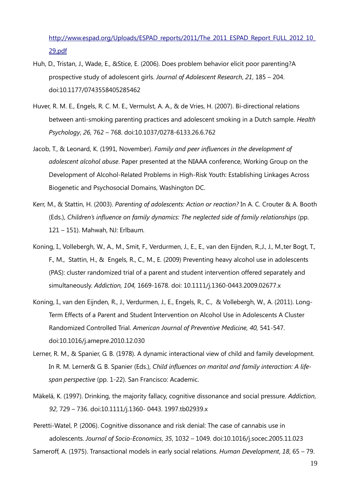[http://www.espad.org/Uploads/ESPAD\\_reports/2011/The\\_2011\\_ESPAD\\_Report\\_FULL\\_2012\\_10\\_](http://www.espad.org/Uploads/ESPAD_reports/2011/The_2011_ESPAD_Report_FULL) [29.pdf](http://www.espad.org/Uploads/ESPAD_reports/2011/The_2011_ESPAD_Report_FULL_2012_10_29.pdf)

- Huh, D., Tristan, J., Wade, E., &Stice, E. (2006). Does problem behavior elicit poor parenting?A prospective study of adolescent girls. *Journal of Adolescent Research*, *21*, 185 – 204. doi:10.1177/0743558405285462
- Huver, R. M. E., Engels, R. C. M. E., Vermulst, A. A., & de Vries, H. (2007). Bi-directional relations between anti-smoking parenting practices and adolescent smoking in a Dutch sample. *Health Psychology*, *26*, 762 – 768. doi:10.1037/0278-6133.26.6.762
- Jacob, T., & Leonard, K. (1991, November). *Family and peer influences in the development of adolescent alcohol abuse*. Paper presented at the NIAAA conference, Working Group on the Development of Alcohol-Related Problems in High-Risk Youth: Establishing Linkages Across Biogenetic and Psychosocial Domains, Washington DC.
- Kerr, M., & Stattin, H. (2003). *Parenting of adolescents: Action or reaction?* In A. C. Crouter & A. Booth (Eds.), *Children's influence on family dynamics: The neglected side of family relationships* (pp. 121 – 151). Mahwah, NJ: Erlbaum.
- Koning, I., Vollebergh, W., A., M., Smit, F., Verdurmen, J., E., E., van den Eijnden, R.,J., J., M.,ter Bogt, T., F., M., Stattin, H., & Engels, R., C., M., E. (2009) Preventing heavy alcohol use in adolescents (PAS): cluster randomized trial of a parent and student intervention offered separately and simultaneously. *Addiction, 104,* 1669-1678. doi: 10.1111/j.1360-0443.2009.02677.x
- Koning, I., van den Eijnden, R., J., Verdurmen, J., E., Engels, R., C., & Vollebergh, W., A. (2011). Long-Term Effects of a Parent and Student Intervention on Alcohol Use in Adolescents A Cluster Randomized Controlled Trial. *American Journal of Preventive Medicine, 40,* 541-547. doi:10.1016/j.amepre.2010.12.030
- Lerner, R. M., & Spanier, G. B. (1978). A dynamic interactional view of child and family development. In R. M. Lerner& G. B. Spanier (Eds.), *Child influences on marital and family interaction: A lifespan perspective* (pp. 1-22). San Francisco: Academic.
- Mäkelä, K. (1997). Drinking, the majority fallacy, cognitive dissonance and social pressure. *Addiction*, *92*, 729 – 736. doi:10.1111/j.1360- 0443. 1997.tb02939.x

Peretti-Watel, P. (2006). Cognitive dissonance and risk denial: The case of cannabis use in adolescents. *Journal of Socio-Economics*, *35*, 1032 – 1049. doi:10.1016/j.socec.2005.11.023

Sameroff, A. (1975). Transactional models in early social relations. *Human Development*, *18*, 65 – 79.